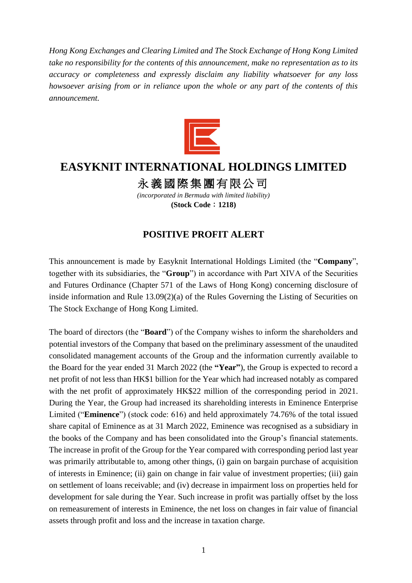*Hong Kong Exchanges and Clearing Limited and The Stock Exchange of Hong Kong Limited take no responsibility for the contents of this announcement, make no representation as to its accuracy or completeness and expressly disclaim any liability whatsoever for any loss howsoever arising from or in reliance upon the whole or any part of the contents of this announcement.*



## **EASYKNIT INTERNATIONAL HOLDINGS LIMITED**

永義國際集團有限公司

*(incorporated in Bermuda with limited liability)* **(Stock Code**:**1218)**

## **POSITIVE PROFIT ALERT**

This announcement is made by Easyknit International Holdings Limited (the "**Company**", together with its subsidiaries, the "**Group**") in accordance with Part XIVA of the Securities and Futures Ordinance (Chapter 571 of the Laws of Hong Kong) concerning disclosure of inside information and Rule 13.09(2)(a) of the Rules Governing the Listing of Securities on The Stock Exchange of Hong Kong Limited.

The board of directors (the "**Board**") of the Company wishes to inform the shareholders and potential investors of the Company that based on the preliminary assessment of the unaudited consolidated management accounts of the Group and the information currently available to the Board for the year ended 31 March 2022 (the **"Year"**), the Group is expected to record a net profit of not less than HK\$1 billion for the Year which had increased notably as compared with the net profit of approximately HK\$22 million of the corresponding period in 2021. During the Year, the Group had increased its shareholding interests in Eminence Enterprise Limited ("**Eminence**") (stock code: 616) and held approximately 74.76% of the total issued share capital of Eminence as at 31 March 2022, Eminence was recognised as a subsidiary in the books of the Company and has been consolidated into the Group's financial statements. The increase in profit of the Group for the Year compared with corresponding period last year was primarily attributable to, among other things, (i) gain on bargain purchase of acquisition of interests in Eminence; (ii) gain on change in fair value of investment properties; (iii) gain on settlement of loans receivable; and (iv) decrease in impairment loss on properties held for development for sale during the Year. Such increase in profit was partially offset by the loss on remeasurement of interests in Eminence, the net loss on changes in fair value of financial assets through profit and loss and the increase in taxation charge.